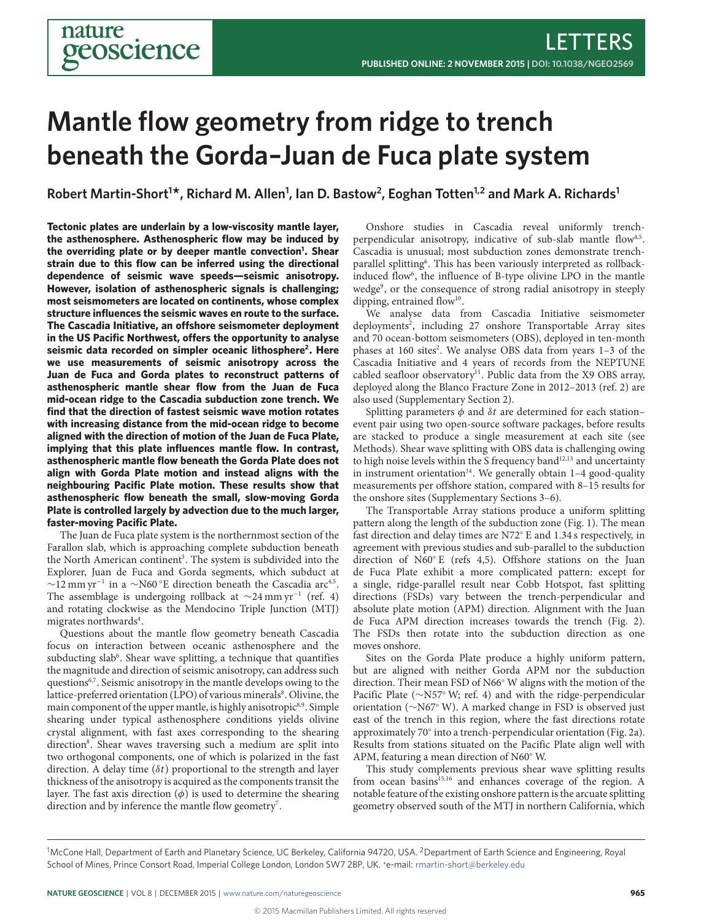# **Mantle flow geometry from ridge to trench beneath the Gorda–Juan de Fuca plate system**

**Robert Martin-Short1 \*, Richard M. Allen1 , Ian D. Bastow<sup>2</sup> , Eoghan Totten1,2 and Mark A. Richards1**

**Tectonic plates are underlain by a low-viscosity mantle layer, the asthenosphere. Asthenospheric flow may be induced by the overriding plate or by deeper mantle convection[1](#page-3-0) . Shear strain due to this flow can be inferred using the directional dependence of seismic wave speeds—seismic anisotropy. However, isolation of asthenospheric signals is challenging; most seismometers are located on continents, whose complex structure influences the seismic waves en route to the surface. The Cascadia Initiative, an offshore seismometer deployment** in the US Pacific Northwest, offers the opportunity to analyse **seismic data recorded on simpler oceanic lithosphere[2](#page-3-1) . Here we use measurements of seismic anisotropy across the Juan de Fuca and Gorda plates to reconstruct patterns of asthenospheric mantle shear flow from the Juan de Fuca mid-ocean ridge to the Cascadia subduction zone trench. We find that the direction of fastest seismic wave motion rotates with increasing distance from the mid-ocean ridge to become aligned with the direction of motion of the Juan de Fuca Plate, implying that this plate influences mantle flow. In contrast, asthenospheric mantle flow beneath the Gorda Plate does not align with Gorda Plate motion and instead aligns with the neighbouring Pacific Plate motion. These results show that asthenospheric flow beneath the small, slow-moving Gorda Plate is controlled largely by advection due to the much larger, faster-moving Pacific Plate.**

The Juan de Fuca plate system is the northernmost section of the Farallon slab, which is approaching complete subduction beneath the North American continent<sup>[3](#page-3-2)</sup>. The system is subdivided into the Explorer, Juan de Fuca and Gorda segments, which subduct at  $\sim$ 12 mm yr<sup>-1</sup> in a  $\sim$ N60 °E direction beneath the Cascadia arc<sup>[4](#page-3-3)[,5](#page-3-4)</sup>. The assemblage is undergoing rollback at  $\sim$ 24 mm yr<sup>-1</sup> (ref. [4\)](#page-3-3) and rotating clockwise as the Mendocino Triple Junction (MTJ) migrates northwards<sup>[4](#page-3-3)</sup>.

Questions about the mantle flow geometry beneath Cascadia focus on interaction between oceanic asthenosphere and the subducting slab<sup>[6](#page-3-5)</sup>. Shear wave splitting, a technique that quantifies the magnitude and direction of seismic anisotropy, can address such questions<sup>[6,](#page-3-5)[7](#page-3-6)</sup>. Seismic anisotropy in the mantle develops owing to the lattice-preferred orientation (LPO) of various minerals<sup>[8](#page-3-7)</sup>. Olivine, the main component of the upper mantle, is highly anisotropic<sup>[8,](#page-3-7)[9](#page-3-8)</sup>. Simple shearing under typical asthenosphere conditions yields olivine crystal alignment, with fast axes corresponding to the shearing direction<sup>[8](#page-3-7)</sup>. Shear waves traversing such a medium are split into two orthogonal components, one of which is polarized in the fast direction. A delay time  $(\delta t)$  proportional to the strength and layer thickness of the anisotropy is acquired as the components transit the layer. The fast axis direction  $(\phi)$  is used to determine the shearing direction and by inference the mantle flow geometry<sup>[7](#page-3-6)</sup>.

Onshore studies in Cascadia reveal uniformly trench-perpendicular anisotropy, indicative of sub-slab mantle flow<sup>[4,](#page-3-3)[5](#page-3-4)</sup>. Cascadia is unusual; most subduction zones demonstrate trench-parallel splitting<sup>[6](#page-3-5)</sup>. This has been variously interpreted as rollback-induced flow<sup>[6](#page-3-5)</sup>, the influence of B-type olivine LPO in the mantle wedge[9](#page-3-8) , or the consequence of strong radial anisotropy in steeply dipping, entrained flow<sup>[10](#page-3-9)</sup>.

We analyse data from Cascadia Initiative seismometer deployments<sup>[2](#page-3-1)</sup>, including 27 onshore Transportable Array sites and 70 ocean-bottom seismometers (OBS), deployed in ten-month phases at 160 sites<sup>[2](#page-3-1)</sup>. We analyse OBS data from years 1-3 of the Cascadia Initiative and 4 years of records from the NEPTUNE cabled seafloor observatory<sup>[11](#page-3-10)</sup>. Public data from the X9 OBS array, deployed along the Blanco Fracture Zone in 2012–2013 (ref. [2\)](#page-3-1) are also used (Supplementary Section 2).

Splitting parameters  $\phi$  and  $\delta t$  are determined for each station– event pair using two open-source software packages, before results are stacked to produce a single measurement at each site (see Methods). Shear wave splitting with OBS data is challenging owing to high noise levels within the S frequency band $12,13$  $12,13$  and uncertainty in instrument orientation $14$ . We generally obtain  $1-4$  good-quality measurements per offshore station, compared with 8–15 results for the onshore sites (Supplementary Sections 3–6).

The Transportable Array stations produce a uniform splitting pattern along the length of the subduction zone (Fig. [1\)](#page-1-0). The mean fast direction and delay times are N72◦ E and 1.34 s respectively, in agreement with previous studies and sub-parallel to the subduction direction of N60◦ E (refs [4,](#page-3-3)[5\)](#page-3-4). Offshore stations on the Juan de Fuca Plate exhibit a more complicated pattern: except for a single, ridge-parallel result near Cobb Hotspot, fast splitting directions (FSDs) vary between the trench-perpendicular and absolute plate motion (APM) direction. Alignment with the Juan de Fuca APM direction increases towards the trench (Fig. [2\)](#page-1-1). The FSDs then rotate into the subduction direction as one moves onshore.

Sites on the Gorda Plate produce a highly uniform pattern, but are aligned with neither Gorda APM nor the subduction direction. Their mean FSD of N66◦ W aligns with the motion of the Pacific Plate (∼N57◦ W; ref. [4\)](#page-3-3) and with the ridge-perpendicular orientation (∼N67◦ W). A marked change in FSD is observed just east of the trench in this region, where the fast directions rotate approximately 70◦ into a trench-perpendicular orientation (Fig. [2a](#page-1-1)). Results from stations situated on the Pacific Plate align well with APM, featuring a mean direction of N60◦ W.

This study complements previous shear wave splitting results from ocean basins<sup>[15](#page-3-14)[,16](#page-3-15)</sup> and enhances coverage of the region. A notable feature of the existing onshore pattern is the arcuate splitting geometry observed south of the MTJ in northern California, which

<sup>&</sup>lt;sup>1</sup>McCone Hall, Department of Earth and Planetary Science, UC Berkeley, California 94720, USA. <sup>2</sup>Department of Earth Science and Engineering, Royal School of Mines, Prince Consort Road, Imperial College London, London SW7 2BP, UK. \*e-mail: [rmartin-short@berkeley.edu](mailto:rmartin-short@berkeley.edu)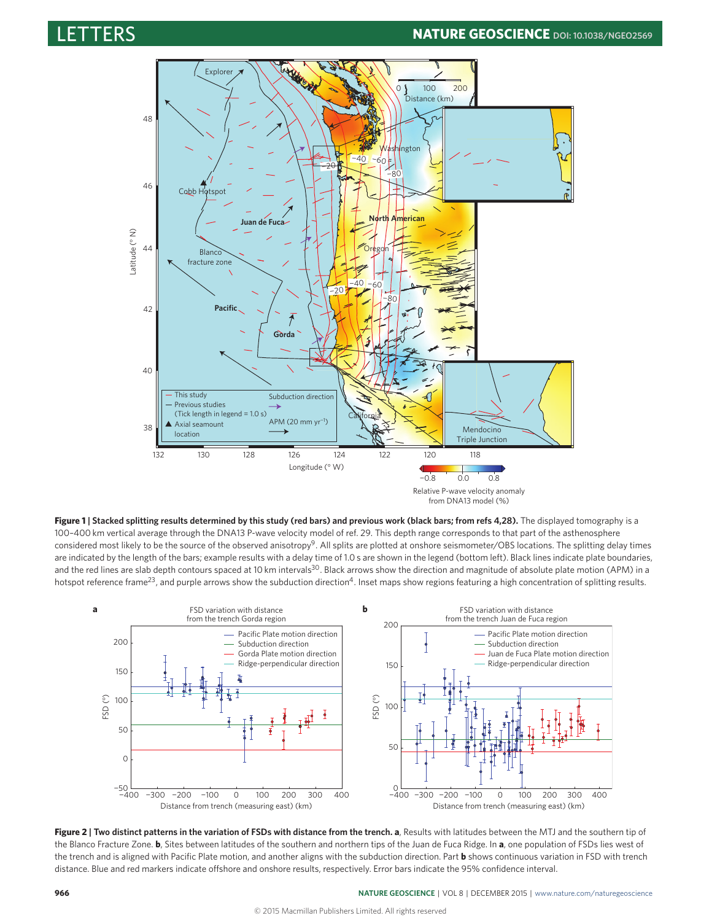

**Figure 1 | Stacked splitting results determined by this study (red bars) and previous work (black bars; from refs [4](#page-3-3)[,28\)](#page-3-16).** The displayed tomography is a 100–400 km vertical average through the DNA13 P-wave velocity model of ref. [29.](#page-3-17) This depth range corresponds to that part of the asthenosphere considered most likely to be the source of the observed anisotropy<sup>[9](#page-3-8)</sup>. All splits are plotted at onshore seismometer/OBS locations. The splitting delay times are indicated by the length of the bars; example results with a delay time of 1.0 s are shown in the legend (bottom left). Black lines indicate plate boundaries, and the red lines are slab depth contours spaced at 10 km intervals<sup>[30](#page-3-18)</sup>. Black arrows show the direction and magnitude of absolute plate motion (APM) in a hotspot reference frame<sup>[23](#page-3-19)</sup>, and purple arrows show the subduction direction<sup>[4](#page-3-3)</sup>. Inset maps show regions featuring a high concentration of splitting results.

<span id="page-1-0"></span>

<span id="page-1-1"></span>**Figure 2 | Two distinct patterns in the variation of FSDs with distance from the trench. a**, Results with latitudes between the MTJ and the southern tip of the Blanco Fracture Zone. **b**, Sites between latitudes of the southern and northern tips of the Juan de Fuca Ridge. In **a**, one population of FSDs lies west of the trench and is aligned with Pacific Plate motion, and another aligns with the subduction direction. Part **b** shows continuous variation in FSD with trench distance. Blue and red markers indicate offshore and onshore results, respectively. Error bars indicate the 95% confidence interval.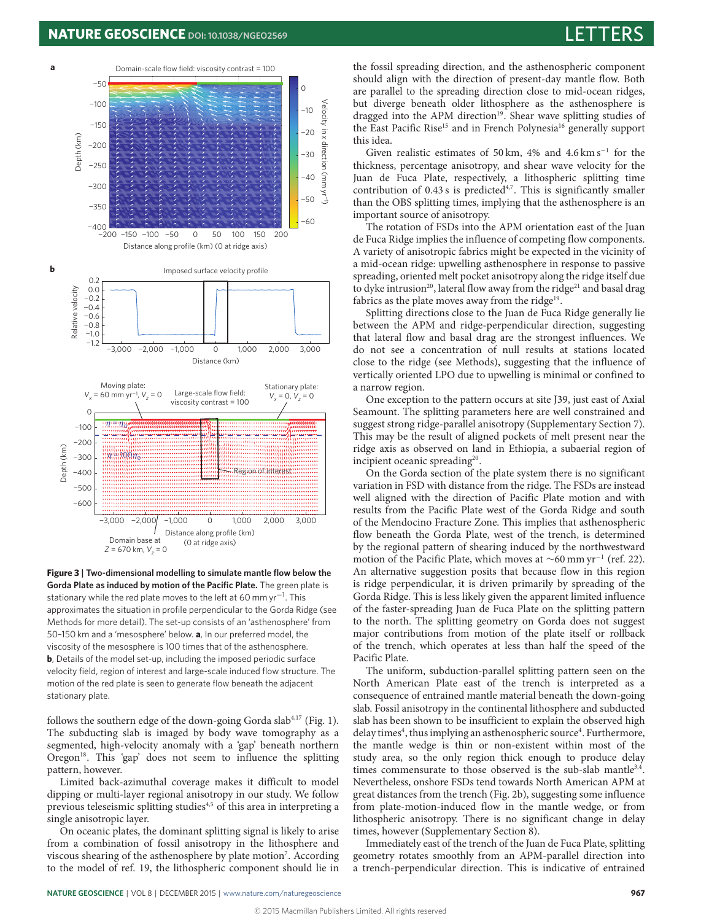

**Figure 3 | Two-dimensional modelling to simulate mantle flow below the Gorda Plate as induced by motion of the Pacific Plate.** The green plate is stationary while the red plate moves to the left at 60 mm yr $^{\rm -1}.$  This approximates the situation in profile perpendicular to the Gorda Ridge (see Methods for more detail). The set-up consists of an 'asthenosphere' from 50–150 km and a 'mesosphere' below. **a**, In our preferred model, the viscosity of the mesosphere is 100 times that of the asthenosphere. **b**, Details of the model set-up, including the imposed periodic surface velocity field, region of interest and large-scale induced flow structure. The motion of the red plate is seen to generate flow beneath the adjacent stationary plate.

follows the southern edge of the down-going Gorda slab $4,17$  $4,17$  (Fig. [1\)](#page-1-0). The subducting slab is imaged by body wave tomography as a segmented, high-velocity anomaly with a 'gap' beneath northern Oregon<sup>[18](#page-3-21)</sup>. This 'gap' does not seem to influence the splitting pattern, however.

Limited back-azimuthal coverage makes it difficult to model dipping or multi-layer regional anisotropy in our study. We follow previous teleseismic splitting studies[4](#page-3-3)[,5](#page-3-4) of this area in interpreting a single anisotropic layer.

On oceanic plates, the dominant splitting signal is likely to arise from a combination of fossil anisotropy in the lithosphere and viscous shearing of the asthenosphere by plate motion<sup>[7](#page-3-6)</sup>. According to the model of ref. [19,](#page-3-22) the lithospheric component should lie in the fossil spreading direction, and the asthenospheric component should align with the direction of present-day mantle flow. Both are parallel to the spreading direction close to mid-ocean ridges, but diverge beneath older lithosphere as the asthenosphere is dragged into the APM direction<sup>[19](#page-3-22)</sup>. Shear wave splitting studies of the East Pacific Rise<sup>[15](#page-3-14)</sup> and in French Polynesia<sup>[16](#page-3-15)</sup> generally support this idea.

Given realistic estimates of 50 km, 4% and 4.6 km s<sup>-1</sup> for the thickness, percentage anisotropy, and shear wave velocity for the Juan de Fuca Plate, respectively, a lithospheric splitting time contribution of  $0.43$  $0.43$  $0.43$  s is predicted<sup>4[,7](#page-3-6)</sup>. This is significantly smaller than the OBS splitting times, implying that the asthenosphere is an important source of anisotropy.

The rotation of FSDs into the APM orientation east of the Juan de Fuca Ridge implies the influence of competing flow components. A variety of anisotropic fabrics might be expected in the vicinity of a mid-ocean ridge: upwelling asthenosphere in response to passive spreading, oriented melt pocket anisotropy along the ridge itself due to dyke intrusion<sup>[20](#page-3-23)</sup>, lateral flow away from the ridge<sup>[21](#page-3-24)</sup> and basal drag fabrics as the plate moves away from the ridge<sup>[19](#page-3-22)</sup>.

Splitting directions close to the Juan de Fuca Ridge generally lie between the APM and ridge-perpendicular direction, suggesting that lateral flow and basal drag are the strongest influences. We do not see a concentration of null results at stations located close to the ridge (see Methods), suggesting that the influence of vertically oriented LPO due to upwelling is minimal or confined to a narrow region.

One exception to the pattern occurs at site J39, just east of Axial Seamount. The splitting parameters here are well constrained and suggest strong ridge-parallel anisotropy (Supplementary Section 7). This may be the result of aligned pockets of melt present near the ridge axis as observed on land in Ethiopia, a subaerial region of incipient oceanic spreading<sup>[20](#page-3-23)</sup>.

On the Gorda section of the plate system there is no significant variation in FSD with distance from the ridge. The FSDs are instead well aligned with the direction of Pacific Plate motion and with results from the Pacific Plate west of the Gorda Ridge and south of the Mendocino Fracture Zone. This implies that asthenospheric flow beneath the Gorda Plate, west of the trench, is determined by the regional pattern of shearing induced by the northwestward motion of the Pacific Plate, which moves at ∼60 mm yr<sup>-1</sup> (ref. [22\)](#page-3-25). An alternative suggestion posits that because flow in this region is ridge perpendicular, it is driven primarily by spreading of the Gorda Ridge. This is less likely given the apparent limited influence of the faster-spreading Juan de Fuca Plate on the splitting pattern to the north. The splitting geometry on Gorda does not suggest major contributions from motion of the plate itself or rollback of the trench, which operates at less than half the speed of the Pacific Plate.

<span id="page-2-0"></span>The uniform, subduction-parallel splitting pattern seen on the North American Plate east of the trench is interpreted as a consequence of entrained mantle material beneath the down-going slab. Fossil anisotropy in the continental lithosphere and subducted slab has been shown to be insufficient to explain the observed high delay times<sup>[4](#page-3-3)</sup>, thus implying an asthenospheric source<sup>4</sup>. Furthermore, the mantle wedge is thin or non-existent within most of the study area, so the only region thick enough to produce delay times commensurate to those observed is the sub-slab mantle<sup>[3,](#page-3-2)[4](#page-3-3)</sup>. Nevertheless, onshore FSDs tend towards North American APM at great distances from the trench (Fig. [2b](#page-1-1)), suggesting some influence from plate-motion-induced flow in the mantle wedge, or from lithospheric anisotropy. There is no significant change in delay times, however (Supplementary Section 8).

Immediately east of the trench of the Juan de Fuca Plate, splitting geometry rotates smoothly from an APM-parallel direction into a trench-perpendicular direction. This is indicative of entrained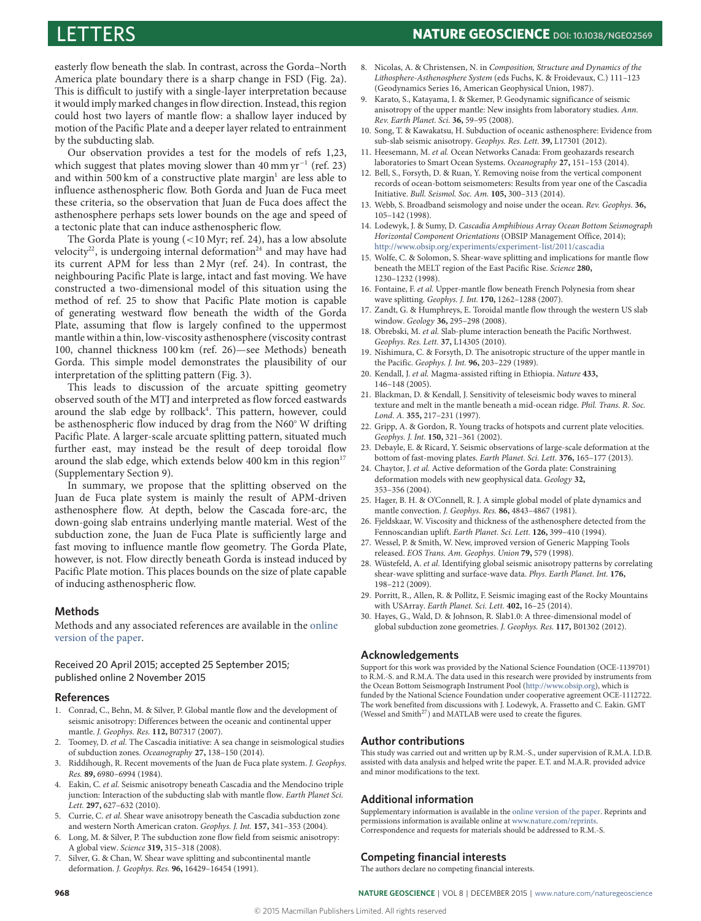easterly flow beneath the slab. In contrast, across the Gorda–North America plate boundary there is a sharp change in FSD (Fig. [2a](#page-1-1)). This is difficult to justify with a single-layer interpretation because it would imply marked changes in flow direction. Instead, this region could host two layers of mantle flow: a shallow layer induced by motion of the Pacific Plate and a deeper layer related to entrainment by the subducting slab.

Our observation provides a test for the models of refs [1](#page-3-0)[,23,](#page-3-19) which suggest that plates moving slower than 40 mm yr<sup>-1</sup> (ref. [23\)](#page-3-19) and within 500 km of a constructive plate margin $^{\text{1}}$  $^{\text{1}}$  $^{\text{1}}$  are less able to influence asthenospheric flow. Both Gorda and Juan de Fuca meet these criteria, so the observation that Juan de Fuca does affect the asthenosphere perhaps sets lower bounds on the age and speed of a tectonic plate that can induce asthenospheric flow.

The Gorda Plate is young (<10 Myr; ref. [24\)](#page-3-26), has a low absolute velocity<sup>[22](#page-3-25)</sup>, is undergoing internal deformation<sup>[24](#page-3-26)</sup> and may have had its current APM for less than 2 Myr (ref. [24\)](#page-3-26). In contrast, the neighbouring Pacific Plate is large, intact and fast moving. We have constructed a two-dimensional model of this situation using the method of ref. [25](#page-3-27) to show that Pacific Plate motion is capable of generating westward flow beneath the width of the Gorda Plate, assuming that flow is largely confined to the uppermost mantle within a thin, low-viscosity asthenosphere (viscosity contrast 100, channel thickness 100 km (ref. [26\)](#page-3-28)—see Methods) beneath Gorda. This simple model demonstrates the plausibility of our interpretation of the splitting pattern (Fig. [3\)](#page-2-0).

This leads to discussion of the arcuate spitting geometry observed south of the MTJ and interpreted as flow forced eastwards around the slab edge by rollback<sup>[4](#page-3-3)</sup>. This pattern, however, could be asthenospheric flow induced by drag from the N60◦ W drifting Pacific Plate. A larger-scale arcuate splitting pattern, situated much further east, may instead be the result of deep toroidal flow around the slab edge, which extends below 400 km in this region<sup>[17](#page-3-20)</sup> (Supplementary Section 9).

In summary, we propose that the splitting observed on the Juan de Fuca plate system is mainly the result of APM-driven asthenosphere flow. At depth, below the Cascada fore-arc, the down-going slab entrains underlying mantle material. West of the subduction zone, the Juan de Fuca Plate is sufficiently large and fast moving to influence mantle flow geometry. The Gorda Plate, however, is not. Flow directly beneath Gorda is instead induced by Pacific Plate motion. This places bounds on the size of plate capable of inducing asthenospheric flow.

# **Methods**

Methods and any associated references are available in the [online](http://dx.doi.org/10.1038/ngeo2569) [version of the paper.](http://dx.doi.org/10.1038/ngeo2569)

Received 20 April 2015; accepted 25 September 2015; published online 2 November 2015

### **References**

- <span id="page-3-0"></span>1. Conrad, C., Behn, M. & Silver, P. Global mantle flow and the development of seismic anisotropy: Differences between the oceanic and continental upper mantle. J. Geophys. Res. **112,** B07317 (2007).
- <span id="page-3-1"></span>Toomey, D. et al. The Cascadia initiative: A sea change in seismological studies of subduction zones. Oceanography **27,** 138–150 (2014).
- <span id="page-3-2"></span>3. Riddihough, R. Recent movements of the Juan de Fuca plate system. J. Geophys. Res. **89,** 6980–6994 (1984).
- <span id="page-3-3"></span>4. Eakin, C. et al. Seismic anisotropy beneath Cascadia and the Mendocino triple junction: Interaction of the subducting slab with mantle flow. Earth Planet Sci. Lett. **297,** 627–632 (2010).
- <span id="page-3-4"></span>5. Currie, C. et al. Shear wave anisotropy beneath the Cascadia subduction zone and western North American craton. Geophys. J. Int. **157,** 341–353 (2004).
- <span id="page-3-5"></span>6. Long, M. & Silver, P. The subduction zone flow field from seismic anisotropy: A global view. Science **319,** 315–318 (2008).
- <span id="page-3-6"></span>7. Silver, G. & Chan, W. Shear wave splitting and subcontinental mantle deformation. J. Geophys. Res. **96,** 16429–16454 (1991).
- <span id="page-3-7"></span>8. Nicolas, A. & Christensen, N. in Composition, Structure and Dynamics of the Lithosphere-Asthenosphere System (eds Fuchs, K. & Froidevaux, C.) 111–123 (Geodynamics Series 16, American Geophysical Union, 1987).
- <span id="page-3-8"></span>9. Karato, S., Katayama, I. & Skemer, P. Geodynamic significance of seismic anisotropy of the upper mantle: New insights from laboratory studies. Ann. Rev. Earth Planet. Sci. **36,** 59–95 (2008).
- <span id="page-3-9"></span>10. Song, T. & Kawakatsu, H. Subduction of oceanic asthenosphere: Evidence from sub-slab seismic anisotropy. Geophys. Res. Lett. **39,** L17301 (2012).
- <span id="page-3-10"></span>11. Heesemann, M. et al. Ocean Networks Canada: From geohazards research laboratories to Smart Ocean Systems. Oceanography **27,** 151–153 (2014).
- <span id="page-3-11"></span>12. Bell, S., Forsyth, D. & Ruan, Y. Removing noise from the vertical component records of ocean-bottom seismometers: Results from year one of the Cascadia Initiative. Bull. Seismol. Soc. Am. **105,** 300–313 (2014).
- <span id="page-3-12"></span>13. Webb, S. Broadband seismology and noise under the ocean. Rev. Geophys. **36,** 105–142 (1998).
- <span id="page-3-13"></span>14. Lodewyk, J. & Sumy, D. Cascadia Amphibious Array Ocean Bottom Seismograph Horizontal Component Orientations (OBSIP Management Office, 2014); <http://www.obsip.org/experiments/experiment-list/2011/cascadia>
- <span id="page-3-14"></span>15. Wolfe, C. & Solomon, S. Shear-wave splitting and implications for mantle flow beneath the MELT region of the East Pacific Rise. Science **280,** 1230–1232 (1998).
- <span id="page-3-15"></span>16. Fontaine, F. et al. Upper-mantle flow beneath French Polynesia from shear wave splitting. Geophys. J. Int. **170,** 1262–1288 (2007).
- <span id="page-3-20"></span>17. Zandt, G. & Humphreys, E. Toroidal mantle flow through the western US slab window. Geology **36,** 295–298 (2008).
- <span id="page-3-21"></span>18. Obrebski, M. et al. Slab-plume interaction beneath the Pacific Northwest. Geophys. Res. Lett. **37,** L14305 (2010).
- <span id="page-3-22"></span>19. Nishimura, C. & Forsyth, D. The anisotropic structure of the upper mantle in the Pacific. Geophys. J. Int. **96,** 203–229 (1989).
- <span id="page-3-23"></span>20. Kendall, J. et al. Magma-assisted rifting in Ethiopia. Nature **433,** 146–148 (2005).
- <span id="page-3-24"></span>21. Blackman, D. & Kendall, J. Sensitivity of teleseismic body waves to mineral texture and melt in the mantle beneath a mid-ocean ridge. Phil. Trans. R. Soc. Lond. A. **355,** 217–231 (1997).
- <span id="page-3-25"></span>22. Gripp, A. & Gordon, R. Young tracks of hotspots and current plate velocities. Geophys. J. Int. **150,** 321–361 (2002).
- <span id="page-3-19"></span>23. Debayle, E. & Ricard, Y. Seismic observations of large-scale deformation at the bottom of fast-moving plates. Earth Planet. Sci. Lett. **376,** 165–177 (2013).
- <span id="page-3-26"></span>24. Chaytor, J. et al. Active deformation of the Gorda plate: Constraining deformation models with new geophysical data. Geology **32,** 353–356 (2004).
- <span id="page-3-27"></span>25. Hager, B. H. & O'Connell, R. J. A simple global model of plate dynamics and mantle convection. J. Geophys. Res. **86,** 4843–4867 (1981).
- <span id="page-3-28"></span>26. Fjeldskaar, W. Viscosity and thickness of the asthenosphere detected from the Fennoscandian uplift. Earth Planet. Sci. Lett. **126,** 399–410 (1994).
- <span id="page-3-29"></span>27. Wessel, P. & Smith, W. New, improved version of Generic Mapping Tools released. EOS Trans. Am. Geophys. Union **79,** 579 (1998).
- <span id="page-3-16"></span>28. Wüstefeld, A. et al. Identifying global seismic anisotropy patterns by correlating shear-wave splitting and surface-wave data. Phys. Earth Planet. Int. **176,** 198–212 (2009).
- <span id="page-3-17"></span>29. Porritt, R., Allen, R. & Pollitz, F. Seismic imaging east of the Rocky Mountains with USArray. Earth Planet. Sci. Lett. **402,** 16–25 (2014).
- <span id="page-3-18"></span>30. Hayes, G., Wald, D. & Johnson, R. Slab1.0: A three-dimensional model of global subduction zone geometries. J. Geophys. Res. **117,** B01302 (2012).

### **Acknowledgements**

Support for this work was provided by the National Science Foundation (OCE-1139701) to R.M.-S. and R.M.A. The data used in this research were provided by instruments from the Ocean Bottom Seismograph Instrument Pool [\(http://www.obsip.org\)](http://www.obsip.org), which is funded by the National Science Foundation under cooperative agreement OCE-1112722. The work benefited from discussions with J. Lodewyk, A. Frassetto and C. Eakin. GMT (Wessel and Smith<sup>[27](#page-3-29)</sup>) and MATLAB were used to create the figures.

# **Author contributions**

This study was carried out and written up by R.M.-S., under supervision of R.M.A. I.D.B. assisted with data analysis and helped write the paper. E.T. and M.A.R. provided advice and minor modifications to the text.

# **Additional information**

Supplementary information is available in the [online version of the paper.](http://dx.doi.org/10.1038/ngeo2569) Reprints and permissions information is available online at [www.nature.com/reprints.](http://www.nature.com/reprints) Correspondence and requests for materials should be addressed to R.M.-S.

# **Competing financial interests**

The authors declare no competing financial interests.